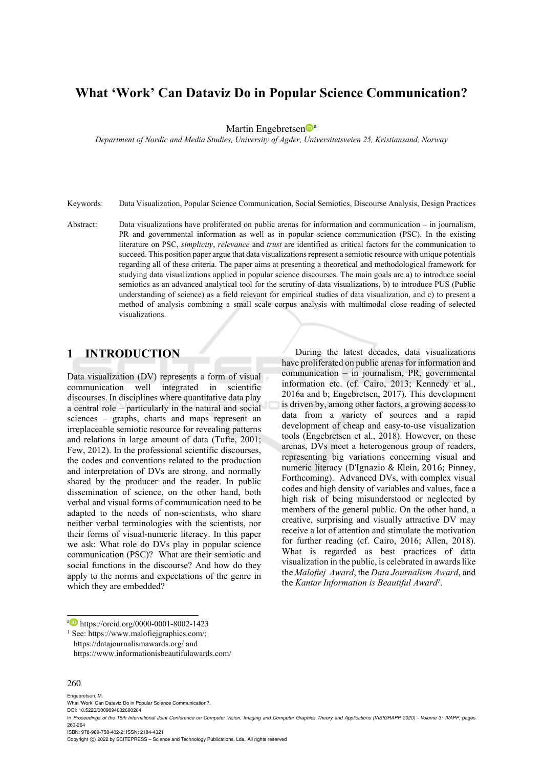# **What 'Work' Can Dataviz Do in Popular Science Communication?**

Martin Engebretsen<sup>Da</sup>

*Department of Nordic and Media Studies, University of Agder, Universitetsveien 25, Kristiansand, Norway* 

Keywords: Data Visualization, Popular Science Communication, Social Semiotics, Discourse Analysis, Design Practices

Abstract: Data visualizations have proliferated on public arenas for information and communication – in journalism, PR and governmental information as well as in popular science communication (PSC). In the existing literature on PSC, *simplicity*, *relevance* and *trust* are identified as critical factors for the communication to succeed. This position paper argue that data visualizations represent a semiotic resource with unique potentials regarding all of these criteria. The paper aims at presenting a theoretical and methodological framework for studying data visualizations applied in popular science discourses. The main goals are a) to introduce social semiotics as an advanced analytical tool for the scrutiny of data visualizations, b) to introduce PUS (Public understanding of science) as a field relevant for empirical studies of data visualization, and c) to present a method of analysis combining a small scale corpus analysis with multimodal close reading of selected visualizations.

# **1 INTRODUCTION**

Data visualization (DV) represents a form of visual communication well integrated in scientific discourses. In disciplines where quantitative data play a central role – particularly in the natural and social sciences – graphs, charts and maps represent an irreplaceable semiotic resource for revealing patterns and relations in large amount of data (Tufte, 2001; Few, 2012). In the professional scientific discourses, the codes and conventions related to the production and interpretation of DVs are strong, and normally shared by the producer and the reader. In public dissemination of science, on the other hand, both verbal and visual forms of communication need to be adapted to the needs of non-scientists, who share neither verbal terminologies with the scientists, nor their forms of visual-numeric literacy. In this paper we ask: What role do DVs play in popular science communication (PSC)? What are their semiotic and social functions in the discourse? And how do they apply to the norms and expectations of the genre in which they are embedded?

During the latest decades, data visualizations have proliferated on public arenas for information and communication – in journalism, PR, governmental information etc. (cf. Cairo, 2013; Kennedy et al., 2016a and b; Engebretsen, 2017). This development is driven by, among other factors, a growing access to data from a variety of sources and a rapid development of cheap and easy-to-use visualization tools (Engebretsen et al., 2018). However, on these arenas, DVs meet a heterogenous group of readers, representing big variations concerning visual and numeric literacy (D'Ignazio & Klein, 2016; Pinney, Forthcoming). Advanced DVs, with complex visual codes and high density of variables and values, face a high risk of being misunderstood or neglected by members of the general public. On the other hand, a creative, surprising and visually attractive DV may receive a lot of attention and stimulate the motivation for further reading (cf. Cairo, 2016; Allen, 2018). What is regarded as best practices of data visualization in the public, is celebrated in awards like the *Malofiej Award*, the *Data Journalism Award*, and the *Kantar Information is Beautiful Award1*.

#### 260

Engebretsen, M.

Copyright  $\circled{c}$  2022 by SCITEPRESS – Science and Technology Publications, Lda. All rights reserved

<sup>&</sup>lt;sup>a</sup> https://orcid.org/0000-0001-8002-1423<br><sup>1</sup> See: https://www.malofiejgraphics.com/;

https://datajournalismawards.org/ and

https://www.informationisbeautifulawards.com/

What 'Work' Can Dataviz Do in Popular Science Communication?.

DOI: 10.5220/0009094002600264

In *Proceedings of the 15th International Joint Conference on Computer Vision, Imaging and Computer Graphics Theory and Applications (VISIGRAPP 2020) - Volume 3: IVAPP*, pages 260-264

ISBN: 978-989-758-402-2; ISSN: 2184-4321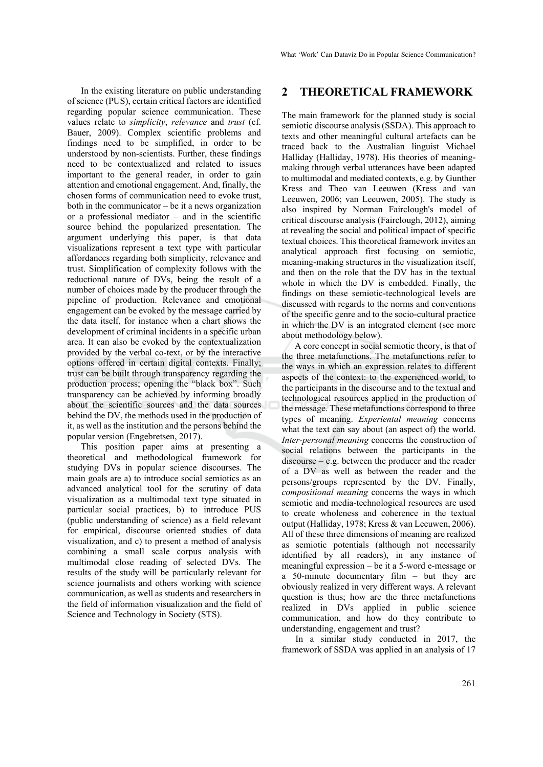In the existing literature on public understanding of science (PUS), certain critical factors are identified regarding popular science communication. These values relate to *simplicity*, *relevance* and *trust* (cf. Bauer, 2009). Complex scientific problems and findings need to be simplified, in order to be understood by non-scientists. Further, these findings need to be contextualized and related to issues important to the general reader, in order to gain attention and emotional engagement. And, finally, the chosen forms of communication need to evoke trust, both in the communicator – be it a news organization or a professional mediator  $-$  and in the scientific source behind the popularized presentation. The argument underlying this paper, is that data visualizations represent a text type with particular affordances regarding both simplicity, relevance and trust. Simplification of complexity follows with the reductional nature of DVs, being the result of a number of choices made by the producer through the pipeline of production. Relevance and emotional engagement can be evoked by the message carried by the data itself, for instance when a chart shows the development of criminal incidents in a specific urban area. It can also be evoked by the contextualization provided by the verbal co-text, or by the interactive options offered in certain digital contexts. Finally; trust can be built through transparency regarding the production process; opening the "black box". Such transparency can be achieved by informing broadly about the scientific sources and the data sources behind the DV, the methods used in the production of it, as well as the institution and the persons behind the popular version (Engebretsen, 2017).

This position paper aims at presenting a theoretical and methodological framework for studying DVs in popular science discourses. The main goals are a) to introduce social semiotics as an advanced analytical tool for the scrutiny of data visualization as a multimodal text type situated in particular social practices, b) to introduce PUS (public understanding of science) as a field relevant for empirical, discourse oriented studies of data visualization, and c) to present a method of analysis combining a small scale corpus analysis with multimodal close reading of selected DVs. The results of the study will be particularly relevant for science journalists and others working with science communication, as well as students and researchers in the field of information visualization and the field of Science and Technology in Society (STS).

#### **2 THEORETICAL FRAMEWORK**

The main framework for the planned study is social semiotic discourse analysis (SSDA). This approach to texts and other meaningful cultural artefacts can be traced back to the Australian linguist Michael Halliday (Halliday, 1978). His theories of meaningmaking through verbal utterances have been adapted to multimodal and mediated contexts, e.g. by Gunther Kress and Theo van Leeuwen (Kress and van Leeuwen, 2006; van Leeuwen, 2005). The study is also inspired by Norman Fairclough's model of critical discourse analysis (Fairclough, 2012), aiming at revealing the social and political impact of specific textual choices. This theoretical framework invites an analytical approach first focusing on semiotic, meaning-making structures in the visualization itself, and then on the role that the DV has in the textual whole in which the DV is embedded. Finally, the findings on these semiotic-technological levels are discussed with regards to the norms and conventions of the specific genre and to the socio-cultural practice in which the DV is an integrated element (see more about methodology below).

A core concept in social semiotic theory, is that of the three metafunctions. The metafunctions refer to the ways in which an expression relates to different aspects of the context: to the experienced world, to the participants in the discourse and to the textual and technological resources applied in the production of the message. These metafunctions correspond to three types of meaning. *Experiental meaning* concerns what the text can say about (an aspect of) the world. *Inter-personal meaning* concerns the construction of social relations between the participants in the discourse – e.g. between the producer and the reader of a DV as well as between the reader and the persons/groups represented by the DV. Finally, *compositional meaning* concerns the ways in which semiotic and media-technological resources are used to create wholeness and coherence in the textual output (Halliday, 1978; Kress & van Leeuwen, 2006). All of these three dimensions of meaning are realized as semiotic potentials (although not necessarily identified by all readers), in any instance of meaningful expression – be it a 5-word e-message or a 50-minute documentary film – but they are obviously realized in very different ways. A relevant question is thus; how are the three metafunctions realized in DVs applied in public science communication, and how do they contribute to understanding, engagement and trust?

In a similar study conducted in 2017, the framework of SSDA was applied in an analysis of 17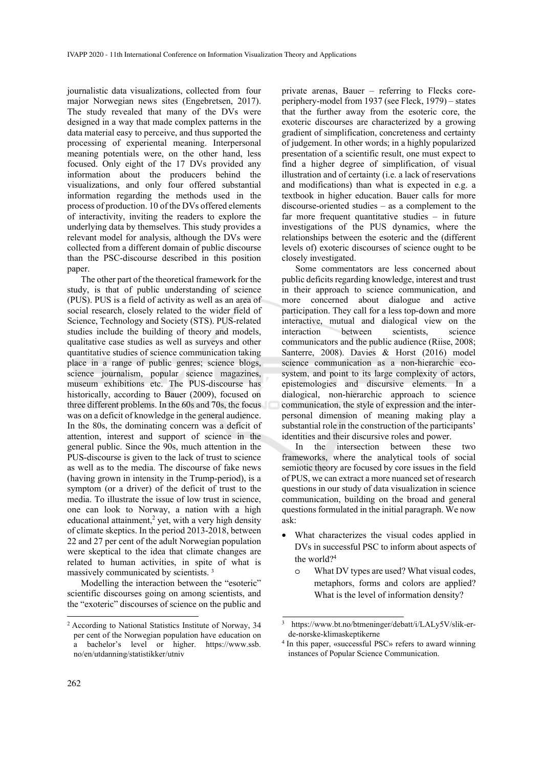journalistic data visualizations, collected from four major Norwegian news sites (Engebretsen, 2017). The study revealed that many of the DVs were designed in a way that made complex patterns in the data material easy to perceive, and thus supported the processing of experiental meaning. Interpersonal meaning potentials were, on the other hand, less focused. Only eight of the 17 DVs provided any information about the producers behind the visualizations, and only four offered substantial information regarding the methods used in the process of production. 10 of the DVs offered elements of interactivity, inviting the readers to explore the underlying data by themselves. This study provides a relevant model for analysis, although the DVs were collected from a different domain of public discourse than the PSC-discourse described in this position paper.

The other part of the theoretical framework for the study, is that of public understanding of science (PUS). PUS is a field of activity as well as an area of social research, closely related to the wider field of Science, Technology and Society (STS). PUS-related studies include the building of theory and models, qualitative case studies as well as surveys and other quantitative studies of science communication taking place in a range of public genres; science blogs, science journalism, popular science magazines, museum exhibitions etc. The PUS-discourse has historically, according to Bauer (2009), focused on three different problems. In the 60s and 70s, the focus was on a deficit of knowledge in the general audience. In the 80s, the dominating concern was a deficit of attention, interest and support of science in the general public. Since the 90s, much attention in the PUS-discourse is given to the lack of trust to science as well as to the media. The discourse of fake news (having grown in intensity in the Trump-period), is a symptom (or a driver) of the deficit of trust to the media. To illustrate the issue of low trust in science, one can look to Norway, a nation with a high educational attainment, $2$  yet, with a very high density of climate skeptics. In the period 2013-2018, between 22 and 27 per cent of the adult Norwegian population were skeptical to the idea that climate changes are related to human activities, in spite of what is massively communicated by scientists. 3

Modelling the interaction between the "esoteric" scientific discourses going on among scientists, and the "exoteric" discourses of science on the public and

private arenas, Bauer – referring to Flecks coreperiphery-model from 1937 (see Fleck, 1979) – states that the further away from the esoteric core, the exoteric discourses are characterized by a growing gradient of simplification, concreteness and certainty of judgement. In other words; in a highly popularized presentation of a scientific result, one must expect to find a higher degree of simplification, of visual illustration and of certainty (i.e. a lack of reservations and modifications) than what is expected in e.g. a textbook in higher education. Bauer calls for more discourse-oriented studies – as a complement to the far more frequent quantitative studies – in future investigations of the PUS dynamics, where the relationships between the esoteric and the (different levels of) exoteric discourses of science ought to be closely investigated.

Some commentators are less concerned about public deficits regarding knowledge, interest and trust in their approach to science communication, and more concerned about dialogue and active participation. They call for a less top-down and more interactive, mutual and dialogical view on the interaction between scientists, science communicators and the public audience (Riise, 2008; Santerre, 2008). Davies & Horst (2016) model science communication as a non-hierarchic ecosystem, and point to its large complexity of actors, epistemologies and discursive elements. In a dialogical, non-hierarchic approach to science communication, the style of expression and the interpersonal dimension of meaning making play a substantial role in the construction of the participants' identities and their discursive roles and power.

In the intersection between these two frameworks, where the analytical tools of social semiotic theory are focused by core issues in the field of PUS, we can extract a more nuanced set of research questions in our study of data visualization in science communication, building on the broad and general questions formulated in the initial paragraph. We now ask:

- What characterizes the visual codes applied in DVs in successful PSC to inform about aspects of the world?4
	- o What DV types are used? What visual codes, metaphors, forms and colors are applied? What is the level of information density?

<sup>2</sup> According to National Statistics Institute of Norway, 34 per cent of the Norwegian population have education on a bachelor's level or higher. https://www.ssb. no/en/utdanning/statistikker/utniv

<sup>3</sup> https://www.bt.no/btmeninger/debatt/i/LALy5V/slik-erde-norske-klimaskeptikerne

<sup>4</sup> In this paper, «successful PSC» refers to award winning instances of Popular Science Communication.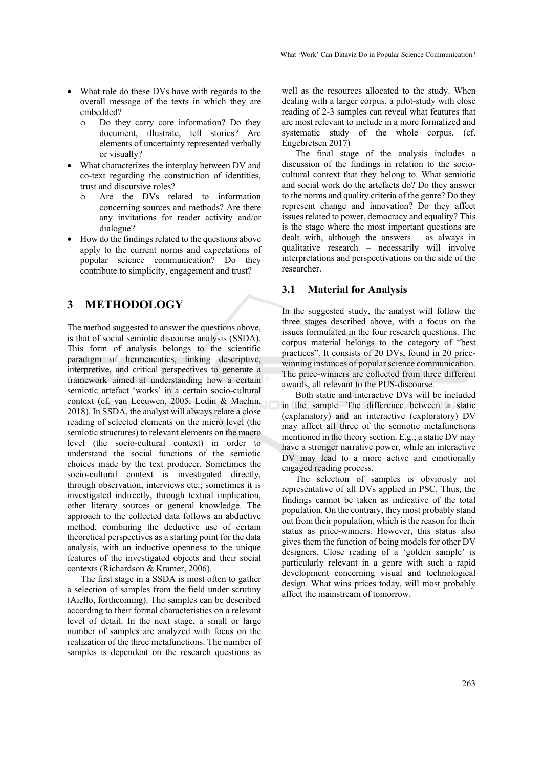- What role do these DVs have with regards to the overall message of the texts in which they are embedded?
	- o Do they carry core information? Do they document, illustrate, tell stories? Are elements of uncertainty represented verbally or visually?
- What characterizes the interplay between DV and co-text regarding the construction of identities, trust and discursive roles?
	- Are the DVs related to information concerning sources and methods? Are there any invitations for reader activity and/or dialogue?
- How do the findings related to the questions above apply to the current norms and expectations of popular science communication? Do they contribute to simplicity, engagement and trust?

### **3 METHODOLOGY**

The method suggested to answer the questions above, is that of social semiotic discourse analysis (SSDA). This form of analysis belongs to the scientific paradigm of hermeneutics, linking descriptive, interpretive, and critical perspectives to generate a framework aimed at understanding how a certain semiotic artefact 'works' in a certain socio-cultural context (cf. van Leeuwen, 2005; Ledin & Machin, 2018). In SSDA, the analyst will always relate a close reading of selected elements on the micro level (the semiotic structures) to relevant elements on the macro level (the socio-cultural context) in order to understand the social functions of the semiotic choices made by the text producer. Sometimes the socio-cultural context is investigated directly, through observation, interviews etc.; sometimes it is investigated indirectly, through textual implication, other literary sources or general knowledge. The approach to the collected data follows an abductive method, combining the deductive use of certain theoretical perspectives as a starting point for the data analysis, with an inductive openness to the unique features of the investigated objects and their social contexts (Richardson & Kramer, 2006).

The first stage in a SSDA is most often to gather a selection of samples from the field under scrutiny (Aiello, forthcoming). The samples can be described according to their formal characteristics on a relevant level of detail. In the next stage, a small or large number of samples are analyzed with focus on the realization of the three metafunctions. The number of samples is dependent on the research questions as

well as the resources allocated to the study. When dealing with a larger corpus, a pilot-study with close reading of 2-3 samples can reveal what features that are most relevant to include in a more formalized and systematic study of the whole corpus. (cf. Engebretsen 2017)

The final stage of the analysis includes a discussion of the findings in relation to the sociocultural context that they belong to. What semiotic and social work do the artefacts do? Do they answer to the norms and quality criteria of the genre? Do they represent change and innovation? Do they affect issues related to power, democracy and equality? This is the stage where the most important questions are dealt with, although the answers – as always in qualitative research – necessarily will involve interpretations and perspectivations on the side of the researcher.

#### **3.1 Material for Analysis**

In the suggested study, the analyst will follow the three stages described above, with a focus on the issues formulated in the four research questions. The corpus material belongs to the category of "best practices". It consists of 20 DVs, found in 20 pricewinning instances of popular science communication. The price-winners are collected from three different awards, all relevant to the PUS-discourse.

Both static and interactive DVs will be included in the sample. The difference between a static (explanatory) and an interactive (exploratory) DV may affect all three of the semiotic metafunctions mentioned in the theory section. E.g.; a static DV may have a stronger narrative power, while an interactive DV may lead to a more active and emotionally engaged reading process.

The selection of samples is obviously not representative of all DVs applied in PSC. Thus, the findings cannot be taken as indicative of the total population. On the contrary, they most probably stand out from their population, which is the reason for their status as price-winners. However, this status also gives them the function of being models for other DV designers. Close reading of a 'golden sample' is particularly relevant in a genre with such a rapid development concerning visual and technological design. What wins prices today, will most probably affect the mainstream of tomorrow.